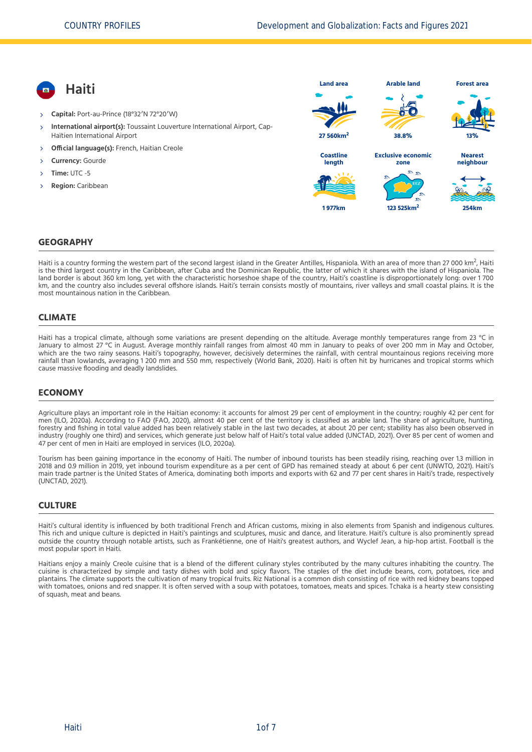- **Haiti**
- **Capital:** Port-au-Prince (18°32′N 72°20′W)
- **International airport(s):** Toussaint Louverture International Airport, Cap-Haïtien International Airport  $\overline{\phantom{a}}$
- **Official language(s):** French, Haitian Creole
- **Currency:** Gourde
- **Time:** UTC -5
- **Region:** Caribbean



## **GEOGRAPHY**

Haiti is a country forming the western part of the second largest island in the Greater Antilles, Hispaniola. With an area of more than 27 000 km<sup>2</sup>, Haiti<br>is the third largest country in the Caribbean, after Cuba and the is the third largest country in the Caribbean, after Cuba and the Dominican Republic, the latter of which it shares with the island of Hispaniola. The land border is about 360 km long, yet with the characteristic horseshoe shape of the country, Haiti's coastline is disproportionately long: over 1 700 km, and the country also includes several offshore islands. Haiti's terrain consists mostly of mountains, river valleys and small coastal plains. It is the most mountainous nation in the Caribbean.

## **CLIMATE**

Haiti has a tropical climate, although some variations are present depending on the altitude. Average monthly temperatures range from 23 °C in January to almost 27 °C in August. Average monthly rainfall ranges from almost 40 mm in January to peaks of over 200 mm in May and October, which are the two rainy seasons. Haiti's topography, however, decisively determines the rainfall, with central mountainous regions receiving more rainfall than lowlands, averaging 1 200 mm and 550 mm, respectively [\(World Bank, 2020\).](#page-6-0) Haiti is often hit by hurricanes and tropical storms which cause massive flooding and deadly landslides.

## **ECONOMY**

Agriculture plays an important role in the Haitian economy: it accounts for almost 29 per cent of employment in the country; roughly 42 per cent for men [\(ILO, 2020a\)](#page-6-1). According to FAO [\(FAO, 2020\),](#page-6-2) almost 40 per cent of the territory is classified as arable land. The share of agriculture, hunting, forestry and fishing in total value added has been relatively stable in the last two decades, at about 20 per cent; stability has also been observed in industry (roughly one third) and services, which generate just below half of Haiti's total value added [\(UNCTAD, 2021\)](#page-6-3). Over 85 per cent of women and 47 per cent of men in Haiti are employed in services [\(ILO, 2020a\)](#page-6-1).

Tourism has been gaining importance in the economy of Haiti. The number of inbound tourists has been steadily rising, reaching over 1.3 million in 2018 and 0.9 million in 2019, yet inbound tourism expenditure as a per cent of GPD has remained steady at about 6 per cent [\(UNWTO, 2021\)](#page-6-4). Haiti's main trade partner is the United States of America, dominating both imports and exports with 62 and 77 per cent shares in Haiti's trade, respectively [\(UNCTAD, 2021\)](#page-6-3).

#### **CULTURE**

Haiti's cultural identity is influenced by both traditional French and African customs, mixing in also elements from Spanish and indigenous cultures. This rich and unique culture is depicted in Haiti's paintings and sculptures, music and dance, and literature. Haiti's culture is also prominently spread outside the country through notable artists, such as Frankétienne, one of Haiti's greatest authors, and Wyclef Jean, a hip-hop artist. Football is the most popular sport in Haiti.

Haitians enjoy a mainly Creole cuisine that is a blend of the different culinary styles contributed by the many cultures inhabiting the country. The cuisine is characterized by simple and tasty dishes with bold and spicy flavors. The staples of the diet include beans, corn, potatoes, rice and plantains. The climate supports the cultivation of many tropical fruits. Riz National is a common dish consisting of rice with red kidney beans topped with tomatoes, onions and red snapper. It is often served with a soup with potatoes, tomatoes, meats and spices. Tchaka is a hearty stew consisting of squash, meat and beans.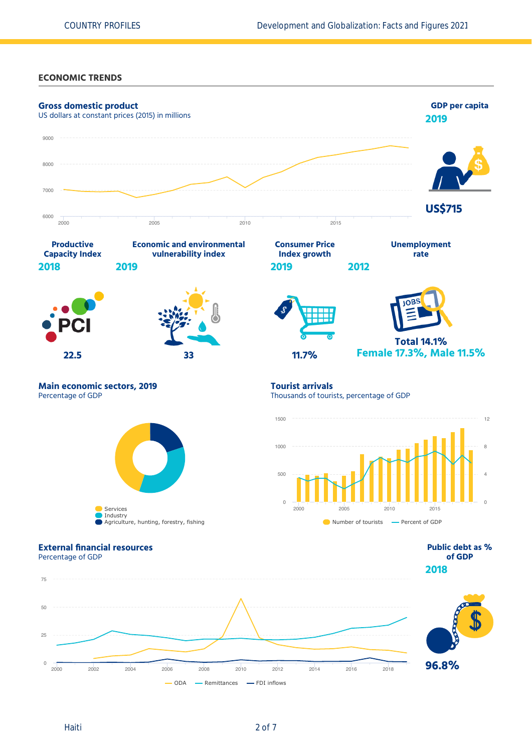**ECONOMIC TRENDS**

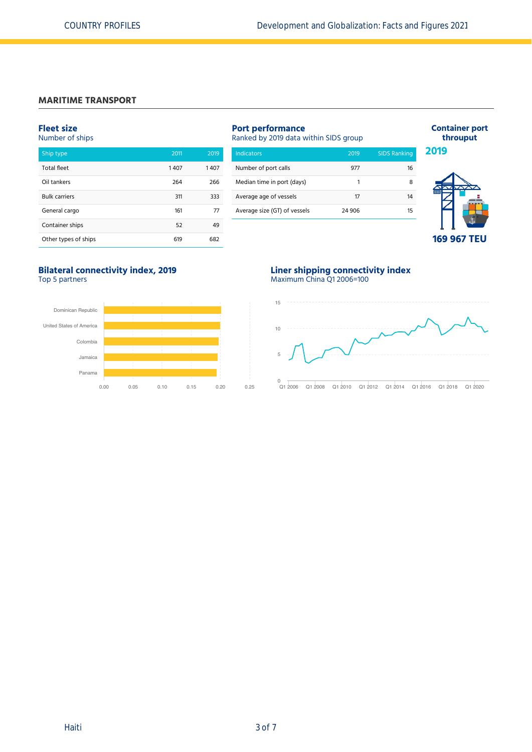# **MARITIME TRANSPORT**

#### **Fleet size** Number of ships

| Ship type            | 2011 | 2019 |
|----------------------|------|------|
| <b>Total fleet</b>   | 1407 | 1407 |
| Oil tankers          | 264  | 266  |
| <b>Bulk carriers</b> | 311  | 333  |
| General cargo        | 161  | 77   |
| Container ships      | 52   | 49   |
| Other types of ships | 619  | 682  |

# **Port performance**

Ranked by 2019 data within SIDS group

| <b>Indicators</b>            | 2019   | <b>SIDS Ranking</b> |
|------------------------------|--------|---------------------|
| Number of port calls         | 977    | 16                  |
| Median time in port (days)   | 1      |                     |
| Average age of vessels       | 17     | 14                  |
| Average size (GT) of vessels | 24 906 | 15                  |



**Container port throuput**

**2019**

**169 967 TEU**

## **Bilateral connectivity index, 2019** Top 5 partners



## **Liner shipping connectivity index** Maximum China Q1 2006=100

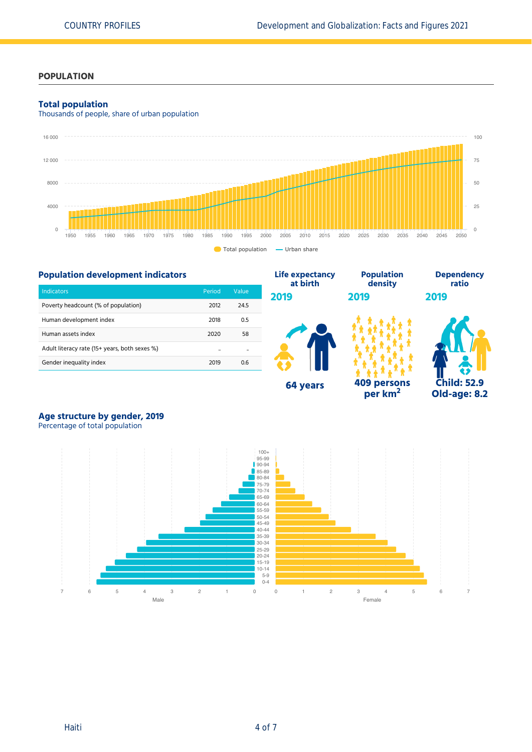## **POPULATION**

## **Total population**

Thousands of people, share of urban population





# **Age structure by gender, 2019**

Percentage of total population

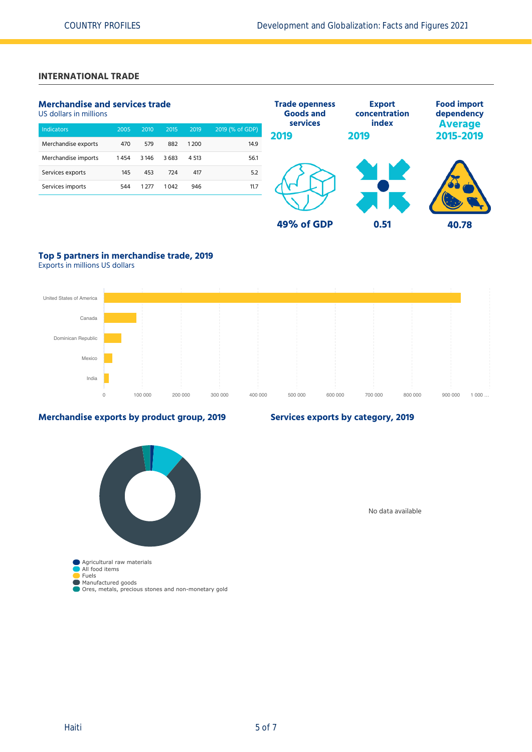# **INTERNATIONAL TRADE**

# **Merchandise and services trade**

US dollars in millions

| <b>Indicators</b>   | 2005 | 2010    | 2015 | 2019   | 2019 (% of GDP) |
|---------------------|------|---------|------|--------|-----------------|
| Merchandise exports | 470  | 579     | 882  | 1200   | 14.9            |
| Merchandise imports | 1454 | 3 1 4 6 | 3683 | 4 5 13 | 56.1            |
| Services exports    | 145  | 453     | 724  | 417    | 5.2             |
| Services imports    | 544  | 1 277   | 1042 | 946    | 11.7            |
|                     |      |         |      |        |                 |



# **Top 5 partners in merchandise trade, 2019**

Exports in millions US dollars



## **Merchandise exports by product group, 2019**



**Services exports by category, 2019**

No data available

Ores, metals, precious stones and non-monetary gold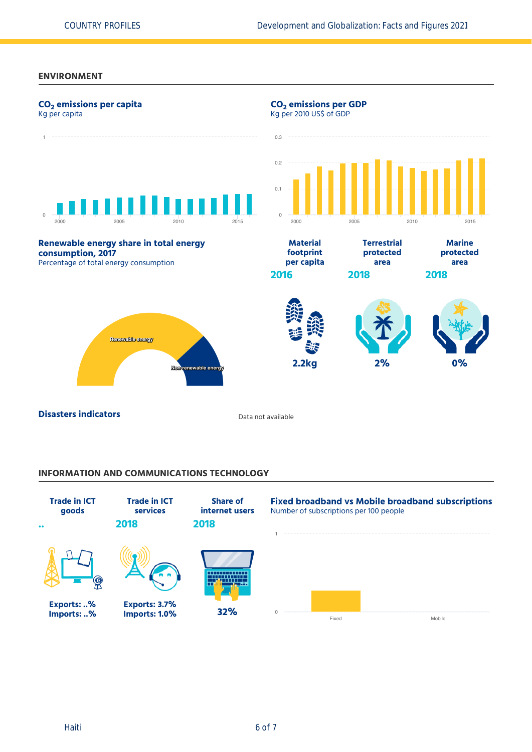# **ENVIRONMENT**



# **INFORMATION AND COMMUNICATIONS TECHNOLOGY**